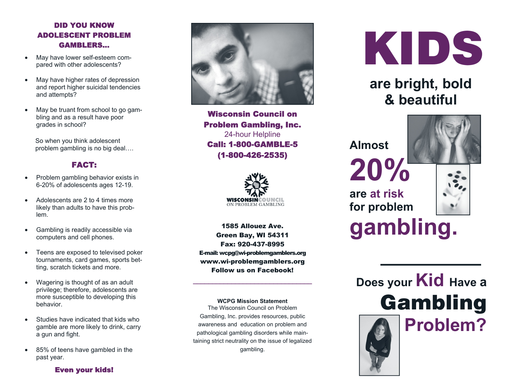#### DID YOU KNOW ADOLESCENT PROBLEM GAMBLERS…

- $\bullet$  May have lower self-esteem compared with other adolescents?
- $\bullet$  May have higher rates of depression and report higher suicidal tendencies and attempts?
- $\bullet$  May be truant from school to go gambling and as a result have poor grades in school?

 So when you think adolescent problem gambling is no big deal….

#### FACT:

- $\bullet$  Problem gambling behavior exists in 6-20% of adolescents ages 12-19.
- $\bullet$  Adolescents are 2 to 4 times more likely than adults to have this problem.
- $\bullet$  Gambling is readily accessible via computers and cell phones.
- $\bullet$  Teens are exposed to televised poker tournaments, card games, sports betting, scratch tickets and more.
- $\bullet$  Wagering is thought of as an adult privilege; therefore, adolescents are more susceptible to developing this behavior.
- $\bullet$  Studies have indicated that kids who gamble are more likely to drink, carry a gun and fight.
- $\bullet$  85% of teens have gambled in the past year.



Wisconsin Council on Problem Gambling, Inc. 24-hour Helpline Call: 1-800-GAMBLE-5 (1-800-426-2535)



1585 Allouez Ave. Green Bay, WI 54311 Fax: 920-437-8995 E-mail: wcpg@wi-problemgamblers.org www.wi-problemgamblers.org Follow us on Facebook!

**WCPG Mission Statement** 

\_\_\_\_\_\_\_\_\_\_\_\_\_\_\_\_\_\_\_\_\_\_\_\_\_\_\_\_\_\_\_

The Wisconsin Council on Problem Gambling, Inc. provides resources, public awareness and education on problem and pathological gambling disorders while maintaining strict neutrality on the issue of legalized gambling.



## **are bright, bold & beautiful**

**Almost 20%**



**are at risk for problem** 



# **gambling.**

**Does your Kid Have a**  Gambling **Problem?**

#### Even your kids!